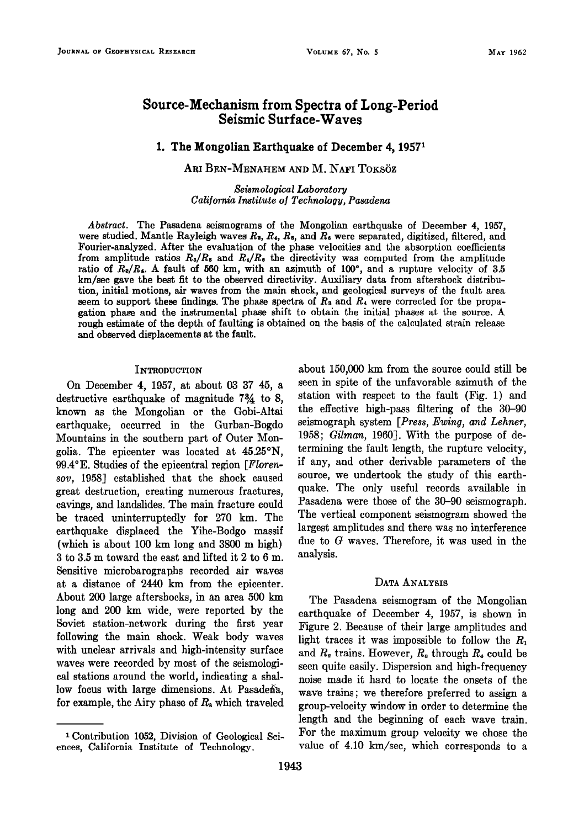# **Source-Mechanism from Spectra of Long-Period Seismic Surface-Waves**

#### **1. The Mongolian Earthquake of December 4, 19571**

### ARI BEN-MENAHEM AND M. NAFI TOKSÖZ

**Seismological Laboratory**  California Institute of Technology, Pasadena

**Abstract. The Pasadena seismograms of the Mongolian earthquake of December 4, 1957,**  were studied. Mantle Rayleigh waves  $R_3$ ,  $R_4$ ,  $R_5$ , and  $\bar{R}_6$  were separated, digitized, filtered, and **Fourier-analyzed. After the evaluation of the phase velocities and the absorption coefficients**  from amplitude ratios  $R_s/R_s$  and  $R_s/R_e$  the directivity was computed from the amplitude ratio of  $R_9/R_4$ . A fault of 560 km, with an azimuth of 100°, and a rupture velocity of 3.5 **km/sec gave the best fit to the observed directivity. Auxiliary data from aftershock distribution, initial motions, air waves from the main shock, and geological surveys of the fault area**  seem to support these findings. The phase spectra of  $R_3$  and  $R_4$  were corrected for the propa**gation phase and the instrumental phase shift to obtain the initial phases at the source. A rough estimate of the depth of faulting is obtained on the basis of the calculated strain release and observed displacements atthe fault.** 

#### **INTRODUCTION**

**On December 4, 1957, at about 03 37 45, a**  destructive earthquake of magnitude 7<sup>3</sup>/<sub>4</sub> to 8, **known as the Mongolian or the Gobi-Altai earthquake, occurred in the Gurban-Bogdo Mountains in the southern part of Outer Mongolia. The epicenter was located at 45.25øN, 99.4øE. Studies of the epicentral region [Florensov, 1958] established that the shock caused great destruction, creating numerous fractures, cavings, and landslides. The main fracture could be traced uninterruptedly for 270 km. The earthquake displaced the Yihe-Bodgo massif (which is about 100 km long and 3800 m high) 3 to 3.5 m toward the east and lifted it 2 to 6 m. Sensitive microbarographs recorded air waves at a distance of 2440 km from the epicenter. About 200 large aftershocks, in an area 500 km long and 200 km wide, were reported by the Soviet station-network during the first year following the main shock. Weak body waves with unclear arrivals and high-intensity surface waves were recorded by most of the seismological stations around the world, indicating a shal**low focus with large dimensions. At Pasadena, for example, the Airy phase of  $R_s$  which traveled **about 150,000 km from the source could still be seen in spite of the unfavorable azimuth of the station with respect to the fault (Fig. 1) and the effective high-pass filtering of the 30-90 seismograph system [Press, Ewing, and Lehner, 1958; Gilman, 1960]. With the purpose of determining the fault length, the rupture velocity, if any, and other derivable parameters of the source, we undertook the study of this earthquake. The only useful records available in Pasadena were those of the 30-90 seismograph. The vertical component seismogram showed the largest amplitudes and there was no interference due to G waves. Therefore, it was used in the analysis.** 

#### **DATA ANALYSIS**

**The Pasadena seismogram of the Mongolian earthquake of December 4, 1957, is shown in Figure 2. Because of their large amplitudes and light traces it was impossible to follow the R,**  and  $R_2$  trains. However,  $R_3$  through  $R_6$  could be **seen quite easily. Dispersion and high-frequency noise made it hard to locate the onsets of the wave trains; we therefore preferred to assign a group-velocity window in order to determine the length and the beginning of each wave train. For the maximum group velocity.we chose the value of 4.10 km/sec, which corresponds to a** 

**<sup>•</sup> Contribution 1052, Division of Geological Sciences, California Institute of Technology.**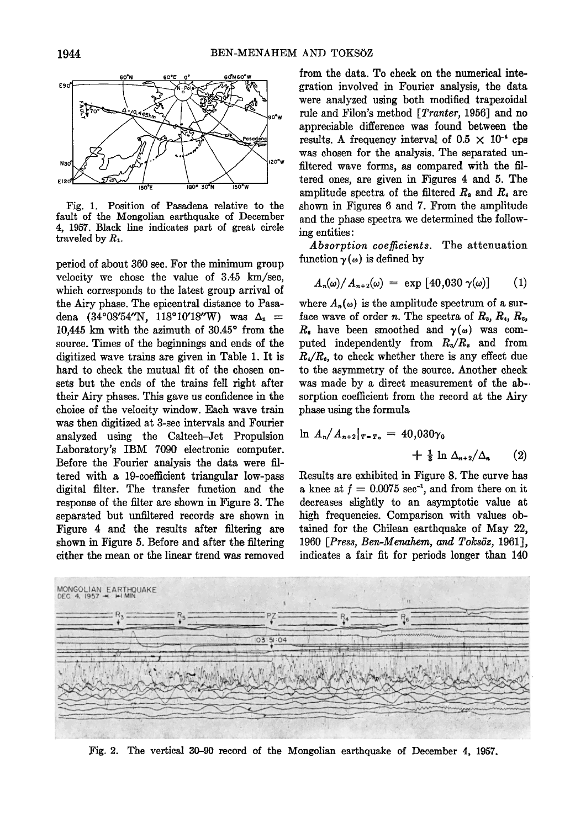

**Fig. 1. Position of Pasadena relative to the**  fault of the Mongolian earthquake of December **4, 1957. Black line indicates part of great circle**  traveled by  $R_1$ .

**period of about 360 sec. For the minimum group velocity we chose the value of 3.45 km/sec,**  which corresponds to the latest group arrival of **the Airy phase. The epicentral distance to Pasa**dena (34°08'54"N, 118°10'18"W) was  $\Delta_1$  = 10,445 km with the azimuth of 30.45° from the **source. Times of the beginnings and ends of the digitized wave trains are given in Table 1. It is hard to check the mutual fit of the chosen onsets but the ends of the trains fell right after their Airy phases. This gave us confidence in the choice of the velocity window. Each wave. train was then digitized at 3-sec intervals and Fourier analyzed using the Caltech-Jet Propulsion Laboratory's IBM 7090 electronic computer. Before the Fourier analysis the data were filtered with a 19-coefficient triangular low-pass digital filter. The transfer function and the response of the filter are shown in Figure 3. The separated but unfiltered records are shown in Figure 4 and the results after filtering are shown in Figure 5. Before and after the filtering either the mean or the linear trend was removed**  **from the data.. To check on the numerical integration involved in Fourier analysis, the data**  were analyzed using both modified trapezoidal **rule and Filon's method [Tranter, 1956] and no appreciable difference was found between the**  results. A frequency interval of  $0.5 \times 10^{-4}$  cps **was chosen for the analysis. The separated un**filtered wave forms, as compared with the fil**tered ones, are given in Figures 4 and 5. The amplitude spectra of the filtered Rs and R, are shown in Figures 6 and 7. From the amplitude and the phase spectra we determined the following entities:** 

**Absorption coefficients. The attenuation**  function  $\gamma(\omega)$  is defined by

$$
A_n(\omega)/A_{n+2}(\omega) = \exp\left[40,030\,\gamma(\omega)\right] \qquad (1)
$$

where  $A_n(\omega)$  is the amplitude spectrum of a surface wave of order *n*. The spectra of  $R_3$ ,  $R_4$ ,  $R_5$ ,  $R_6$  have been smoothed and  $\gamma(\omega)$  was com**puted independently from R•/R• and from R,/R,, to check whether there is any effect due to the asymmetry of the source. Another check was made by a direct measurement of the ab**sorption coefficient from the record at the Airy **phase using the formula** 

$$
\ln A_n/A_{n+2}|_{T-T_0} = 40,030\gamma_0 + \frac{1}{3}\ln \Delta_{n+2}/\Delta_n \qquad (2)
$$

**Results are exhibited in Figure 8. The curve has a** knee at  $f = 0.0075$  sec<sup>-1</sup>, and from there on it **decreases slightly to an asymptotic value at high frequencies. Comparison with values obtained for the Chilean earthquake of May 22, 1960** [Press, Ben-Menahem, and Toksöz, 1961], **indicates a fair fit for periods longer than 140** 



**Fig. 2. The vertical 30-90 record of the Mongolian earthquake of December 4, 1957.**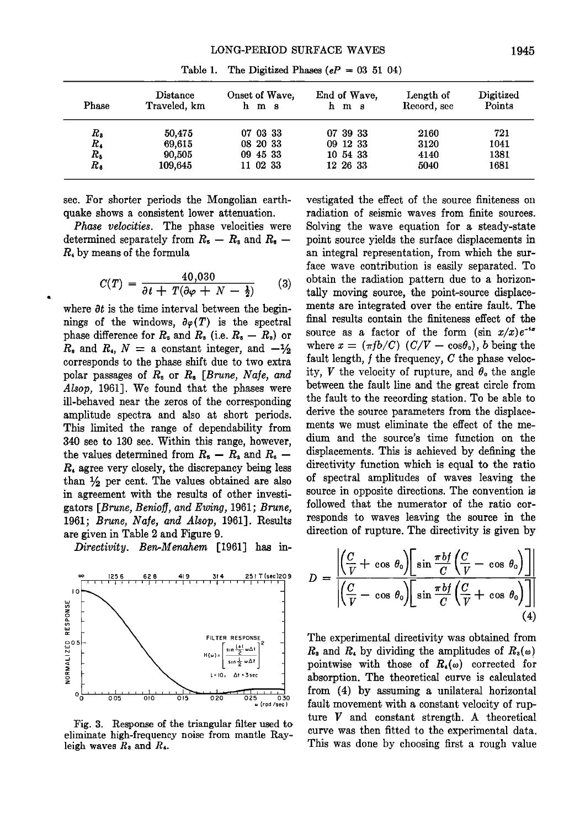| Phase       | Distance<br>Traveled, km | Onset of Wave,<br>h m s | End of Wave,<br>hm s | Length of<br>Record, sec | Digitized<br>Points |
|-------------|--------------------------|-------------------------|----------------------|--------------------------|---------------------|
| $R_{\rm s}$ | 50,475                   | 07 03 33                | 07 39 33             | 2160                     | 721                 |
| $R_{4}$     | 69,615                   | 08 20 33                | 09 12 33             | 3120                     | 1041                |
| $R_{5}$     | 90,505                   | 09 45 33                | 10 54 33             | 4140                     | 1381                |
| $R_{\rm a}$ | 109.645                  | 11 02 33                | 12 26 33             | 5040                     | 1681                |

Table 1. The Digitized Phases  $(eP = 03 \ 51 \ 04)$ 

**sec. For shorter periods the Mongolian earthquake shows a consistent lower attenuation.** 

**Phase velocities. The phase velocities were**  determined separately from  $R_5 - R_3$  and  $R_6 -$ **R• by means of the formula** 

$$
C(T) = \frac{40,030}{\partial t + T(\partial \varphi + N - \frac{1}{2})}
$$
 (3)

where  $\partial t$  is the time interval between the beginnings of the windows,  $\partial \varphi(T)$  is the spectral phase difference for  $R_5$  and  $R_3$  (i.e.  $R_5 - R_3$ ) or  $R_0$  and  $R_4$ ,  $N = a$  constant integer, and  $-\frac{1}{2}$ **corresponds to the phase shift due to two extra**  polar passages of  $R_5$  or  $R_6$  [Brune, Nafe, and **Alsop, 1961]. We found that the phases were ill-behaved near the zeros of the corresponding amplitude spectra and also at short periods. This limited the range of dependability from 340 sec to 130 sec. Within this range, however,**  the values determined from  $R_5 - R_4$  and  $R_6 -$ **R, agree very closely, the discrepancy being less**  than  $\frac{1}{2}$  per cent. The values obtained are also **in agreement with the results of other investi**gators [Brune, Benioff, and Ewing, 1961; Brune, 1961; Brune, Nafe, and Alsop, 1961]. Results **are given in Table 2 and Figure 9.** 

**Directivity. Ben-Menahem [1961] has in-** 



**Fig. 3. Response of the triangular filter used to**  eliminate high-frequency noise from mantle Rayleigh waves  $R_3$  and  $R_4$ .

**vestigated the effect of the source finiteness on radiation of seismic waves from finite sources. Solving the wave equation for a steady-state point source yields the surface displacements in an integral representation, from which the surface wave contribution is easily separated. To obtain the radiation pattern due to a horizontally moving source, the point-source displacements are integrated over the entire fault. The final results contain the finiteness effect of the**  source as a factor of the form  $(\sin x/x)e^{-ix}$ where  $x = (\pi f b/C)$  ( $C/V - \cos\theta_o$ ), b being the fault length, f the frequency, C the phase velocity,  $V$  the velocity of rupture, and  $\theta_0$  the angle **between the fault line and the great circle from the fault to the recording station. To be able to derive the source parameters from the displacements we must eliminate the effect of the medium and the source's time function on the displacements. This is achieved by defining the directivity function which is equal to the ratio of spectral amplitudes of waves leaving the source in opposite directions. The convention is followed that the numerator of the ratio corresponds to waves leaving the source in the direction of rupture. The directivity is given by** 

$$
D = \frac{\left| \left( \frac{C}{V} + \cos \theta_0 \right) \left[ \sin \frac{\pi b f}{C} \left( \frac{C}{V} - \cos \theta_0 \right) \right] \right|}{\left| \left( \frac{C}{V} - \cos \theta_0 \right) \left[ \sin \frac{\pi b f}{C} \left( \frac{C}{V} + \cos \theta_0 \right) \right] \right|}
$$
(4)

**The experimental directivity was obtained from**   $R_3$  and  $R_4$  by dividing the amplitudes of  $R_3(\omega)$ pointwise with those of  $R_4(\omega)$  corrected for **absorption. The theoretical curve is calculated from (4) by assuming a unilateral horizontal fault movement with a constant velocity of rupture V and constant strength. A theoretical curve was then fitted to the experimental data. This was done by choosing first a rough value**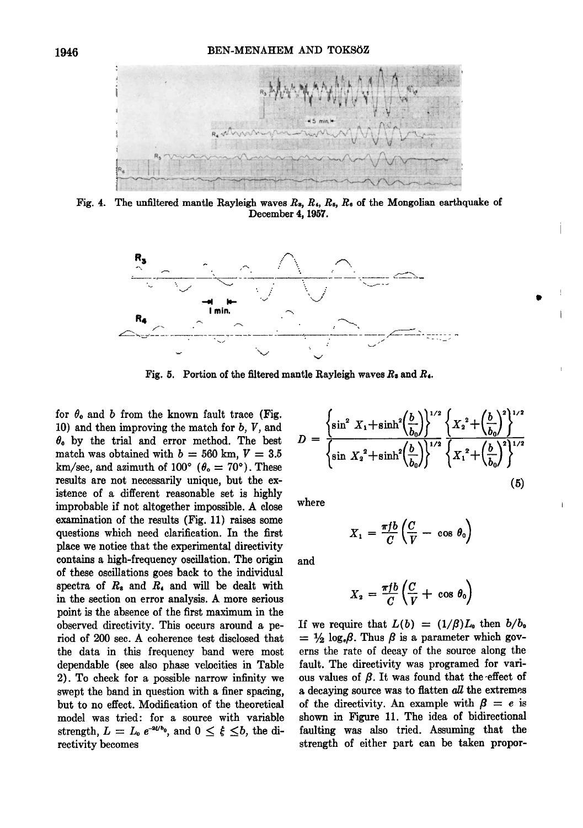

Fig. 4. The unfiltered mantle Rayleigh waves  $R_s$ ,  $R_s$ ,  $R_s$ ,  $R_e$  of the Mongolian earthquake of **December 4, 1957.** 



**Fig. 5. Portion of the filtered mantle Rayleigh waves Rs and R•.** 

for  $\theta_0$  and b from the known fault trace (Fig. **10) and then improving the match for b, V, and 0o by the trial and error method. The best**  match was obtained with  $b = 560$  km,  $V = 3.5$  $km/sec$ , and azimuth of  $100^{\circ}$  ( $\theta_{o} = 70^{\circ}$ ). These **results are not necessarily unique, but the existence of a different reasonable set is highly improbable if not altogether impossible. A close examination of the results (Fig. 11) raises some questions which need clarification. In the first place we notice that the experimental directivity contains a high-frequency oscillation. The origin of these oscillations goes back to the individual spectra of R• and R• and will be dealt with in the section on error analysis. A more serious point is the absence of the first maximum in the observed directivity. This occurs around a period of 200 sec. A coherence test disclosed that**  the data in this frequency band were most **dependable (see also phase velocities in Table 2). To check for • possible narrow infinity we swept the band in question with a finer spacing, but to no effect. Modification of the theoretical model was tried' for a source with variable**  strength,  $L = L_0 e^{-a\xi/b_0}$ , and  $0 \leq \xi \leq b$ , the di**rectivity becomes** 

$$
D = \frac{\left\{\sin^2 X_1 + \sinh^2 \left(\frac{b}{b_0}\right)\right\}^{1/2} \left\{X_2^2 + \left(\frac{b}{b_0}\right)^2\right\}^{1/2}}{\left\{\sin X_2^2 + \sinh^2 \left(\frac{b}{b_0}\right)\right\}^{1/2} \left\{X_1^2 + \left(\frac{b}{b_0}\right)^2\right\}^{1/2}}
$$
\n(5)

**where** 

$$
X_1 = \frac{\pi f b}{C} \left( \frac{C}{V} - \cos \theta_0 \right)
$$

**and** 

$$
X_2 = \frac{\pi f b}{C} \left( \frac{C}{V} + \cos \theta_0 \right)
$$

If we require that  $L(b) = (1/\beta)L_0$  then  $b/b_0$  $= \frac{1}{2} \log_{\epsilon} \beta$ . Thus  $\beta$  is a parameter which gov**erns the rate of decay of the source along the**  fault. The directivity was programed for various values of  $\beta$ . It was found that the effect of **a decaying source was to fiatten all the extremes**  of the directivity. An example with  $\beta = e$  is **shown in Figure 11. The idea of bidirectional**  faulting was also tried. Assuming that the **strength of either part can be taken propor-**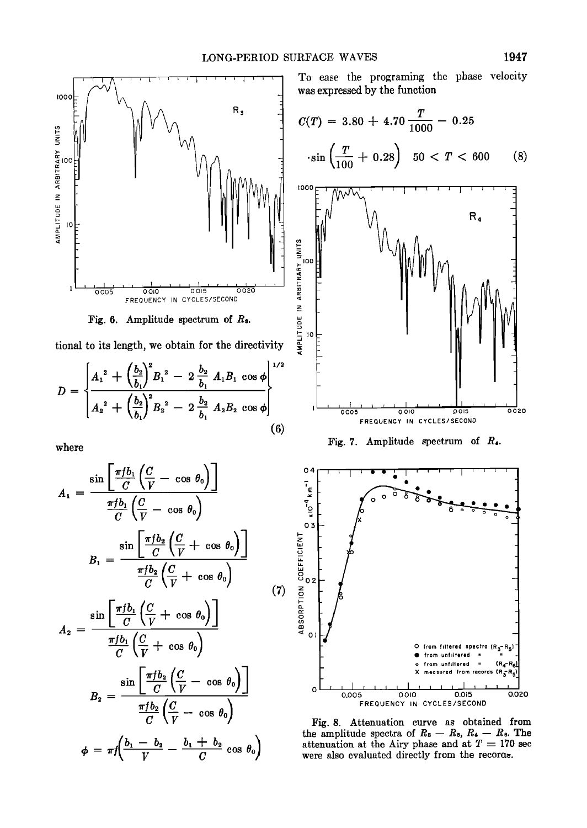

Fig. 6. Amplitude spectrum of  $R_3$ .

**tional to its length, we obtain for the directivity** 

$$
D = \begin{cases} A_1^2 + \left(\frac{b_2}{b_1}\right)^2 B_1^2 - 2 \frac{b_2}{b_1} A_1 B_1 \cos \phi \\ A_2^2 + \left(\frac{b_2}{b_1}\right)^2 B_2^2 - 2 \frac{b_2}{b_1} A_2 B_2 \cos \phi \end{cases}
$$
 (6)

**where** 

$$
A_1 = \frac{\sin\left[\frac{\pi f b_1}{C}\left(\frac{C}{V} - \cos \theta_0\right)\right]}{\frac{\pi f b_1}{C}\left(\frac{C}{V} - \cos \theta_0\right)}
$$
\n
$$
B_1 = \frac{\sin\left[\frac{\pi f b_2}{C}\left(\frac{C}{V} + \cos \theta_0\right)\right]}{\frac{\pi f b_2}{C}\left(\frac{C}{V} + \cos \theta_0\right)}
$$
\n
$$
A_2 = \frac{\sin\left[\frac{\pi f b_1}{C}\left(\frac{C}{V} + \cos \theta_0\right)\right]}{\frac{\pi f b_1}{C}\left(\frac{C}{V} + \cos \theta_0\right)}
$$
\n
$$
B_2 = \frac{\sin\left[\frac{\pi f b_2}{C}\left(\frac{C}{V} - \cos \theta_0\right)\right]}{\frac{\pi f b_2}{C}\left(\frac{C}{V} - \cos \theta_0\right)}
$$
\n
$$
B_2 = \frac{\sin\left[\frac{\pi f b_2}{C}\left(\frac{C}{V} - \cos \theta_0\right)\right]}{\frac{\pi f b_2}{C}\left(\frac{C}{V} - \cos \theta_0\right)}
$$
\n
$$
\phi = \pi f\left(\frac{b_1 - b_2}{V} - \frac{b_1 + b_2}{C}\cos \theta_0\right)
$$
\n
$$
\begin{array}{c}\n\text{therefore} \\
\text{therefore} \\
\text{therefore} \\
\text{therefore}\n\end{array}
$$

**To ease the programing the phase velocity was expressed by the function** 

$$
C(T) = 3.80 + 4.70 \frac{T}{1000} - 0.25
$$
  
• sin  $\left(\frac{T}{100} + 0.28\right)$  50 < T < 600 (8)



**Fig. 7. Amplitude spectrum of R•.** 



**Fig. 8. Attenuation curve as obtained from**  the amplitude spectra of  $R_3 - R_5$ ,  $R_4 - R_6$ . The attenuation at the Airy phase and at  $T = 170$  sec **were also evaluated directly from the recoroo.**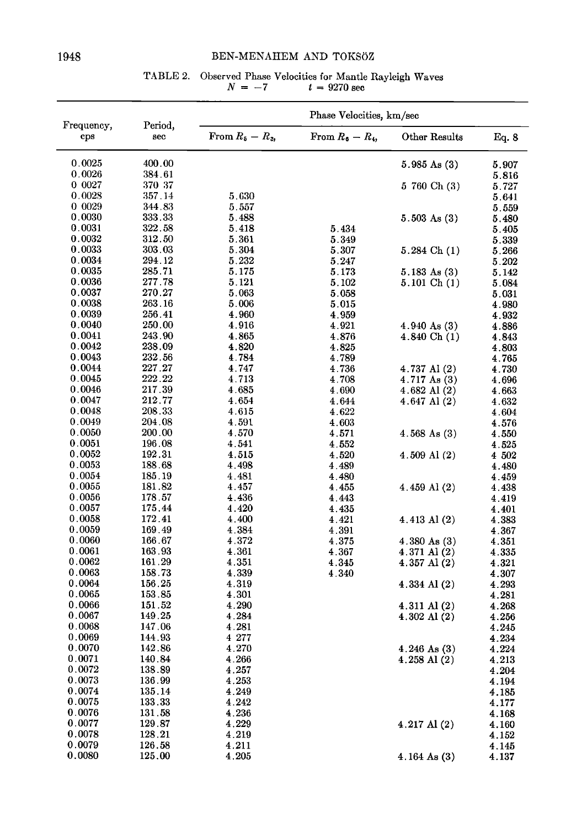# **1948 BEN-MENAHEM AND TOKSOZ**

# **TABLE 2.** Observed Phase Velocities for Mantle Rayleigh Waves  $N = -7$   $t = 9270$  sec

|                    | Period,<br>sec       | Phase Velocities, km/sec |                    |                         |                |  |
|--------------------|----------------------|--------------------------|--------------------|-------------------------|----------------|--|
| Frequency,<br>cps  |                      | From $R_5 - R_3$ ,       | From $R_6 - R_4$ , | Other Results           | Eq. 8          |  |
| 0.0025             | 400.00               |                          |                    | $5.985 \text{ As } (3)$ | 5.907          |  |
| 0.0026             | 384.61               |                          |                    |                         | 5.816          |  |
| 0 0027             | 370 37               |                          |                    | 5 760 Ch (3)            | 5.727          |  |
| 0.0028             | 357.14               | 5.630                    |                    |                         | 5.641          |  |
| 0 0 0 29<br>0.0030 | 344.83               | 5.557                    |                    |                         | 5.559          |  |
| 0.0031             | 333.33<br>$322.58\,$ | 5.488<br>5.418           |                    | $5.503 \text{ As } (3)$ | 5.480          |  |
| 0.0032             | 312.50               | 5.361                    | 5.434<br>5.349     |                         | 5.405<br>5.339 |  |
| 0.0033             | 303.03               | 5.304                    | 5.307              | $5.284$ Ch $(1)$        | 5.266          |  |
| 0.0034             | 294.12               | 5.232                    | 5.247              |                         | 5.202          |  |
| 0.0035             | 285.71               | 5.175                    | 5.173              | $5.183 \text{ As } (3)$ | 5.142          |  |
| 0.0036             | 277.78               | 5.121                    | 5.102              | 5.101 Ch(1)             | 5.084          |  |
| 0.0037             | 270.27               | 5.063                    | 5.058              |                         | 5.031          |  |
| 0.0038             | 263.16               | 5.006                    | 5.015              |                         | 4.980          |  |
| 0.0039             | 256.41               | 4.960                    | 4.959              |                         | 4.932          |  |
| 0.0040             | 250.00               | 4.916                    | 4.921              | $4.940 \text{ As} (3)$  | 4.886          |  |
| 0.0041             | 243.90               | 4.865                    | 4.876              | 4.840 Ch (1)            | 4.843          |  |
| 0.0042             | 238.09               | 4.820                    | 4.825              |                         | 4.803          |  |
| 0.0043             | 232.56               | 4.784                    | 4.789              |                         | 4.765          |  |
| 0.0044             | 227.27               | 4.747                    | 4.736              | $4.737$ Al $(2)$        | 4.730          |  |
| 0.0045             | 222.22               | 4.713                    | 4.708              | $4.717 \text{ As } (3)$ | 4.696          |  |
| 0.0046<br>0.0047   | 217.39<br>212.77     | 4.685                    | 4.690              | $4.682$ Al $(2)$        | 4.663          |  |
| 0.0048             | 208.33               | 4.654<br>4.615           | 4.644<br>4.622     | 4.647 Al (2)            | 4.632          |  |
| 0.0049             | 204.08               | 4.591                    | 4.603              |                         | 4.604<br>4.576 |  |
| 0.0050             | 200.00               | 4.570                    | 4.571              | $4.568$ As $(3)$        | $\bf 4.550$    |  |
| 0.0051             | 196.08               | 4.541                    | 4.552              |                         | 4.525          |  |
| 0.0052             | 192.31               | 4.515                    | 4.520              | $4.509$ Al $(2)$        | 4 502          |  |
| 0.0053             | 188.68               | 4.498                    | 4.489              |                         | 4.480          |  |
| 0.0054             | 185.19               | 4.481                    | 4.480              |                         | 4.459          |  |
| 0.0055             | 181.82               | 4.457                    | 4.455              | 4.459 Al (2)            | 4.438          |  |
| 0.0056             | 178.57               | 4.436                    | 4.443              |                         | 4.419          |  |
| 0.0057             | 175.44               | 4.420                    | 4.435              |                         | 4.401          |  |
| 0.0058             | 172.41               | 4.400                    | 4.421              | $4.413$ Al $(2)$        | 4.383          |  |
| 0.0059             | 169.49               | 4.384                    | 4.391              |                         | 4.367          |  |
| 0.0060             | 166.67               | 4 372                    | 4.375              | 4.380 As (3)            | 4.351          |  |
| 0.0061             | 163.93               | 4.361                    | 4.367              | 4.371 Al (2)            | 4.335          |  |
| 0.0062<br>0.0063   | 161.29<br>158.73     | 4.351<br>4.339           | 4.345              | 4.357 Al (2)            | 4.321          |  |
| 0.0064             | 156.25               | 4.319                    | 4.340              | 4.334 Al $(2)$          | 4.307<br>4.293 |  |
| 0.0065             | 153.85               | 4.301                    |                    |                         | 4.281          |  |
| 0.0066             | 151.52               | 4.290                    |                    | 4.311 Al (2)            | 4.268          |  |
| 0.0067             | 149.25               | 4.284                    |                    | 4.302 Al (2)            | 4.256          |  |
| 0.0068             | 147.06               | 4.281                    |                    |                         | 4.245          |  |
| 0.0069             | 144.93               | 4 277                    |                    |                         | 4.234          |  |
| 0.0070             | 142.86               | 4.270                    |                    | $4.246$ As $(3)$        | 4.224          |  |
| 0.0071             | 140.84               | 4.266                    |                    | $4.258$ Al $(2)$        | 4.213          |  |
| 0.0072             | 138.89               | 4.257                    |                    |                         | 4.204          |  |
| 0.0073             | 136.99               | 4.253                    |                    |                         | 4.194          |  |
| 0.0074             | 135.14               | 4.249                    |                    |                         | 4.185          |  |
| 0.0075             | 133.33               | 4.242                    |                    |                         | 4.177          |  |
| 0.0076             | 131.58               | 4.236                    |                    |                         | 4.168          |  |
| 0.0077             | 129.87               | 4.229                    |                    | 4.217 Al (2)            | 4.160          |  |
| 0.0078<br>0.0079   | 128.21<br>126.58     | 4.219<br>4.211           |                    |                         | 4.152          |  |
| 0.0080             | 125.00               | 4.205                    |                    | $4.164$ As $(3)$        | 4.145<br>4.137 |  |
|                    |                      |                          |                    |                         |                |  |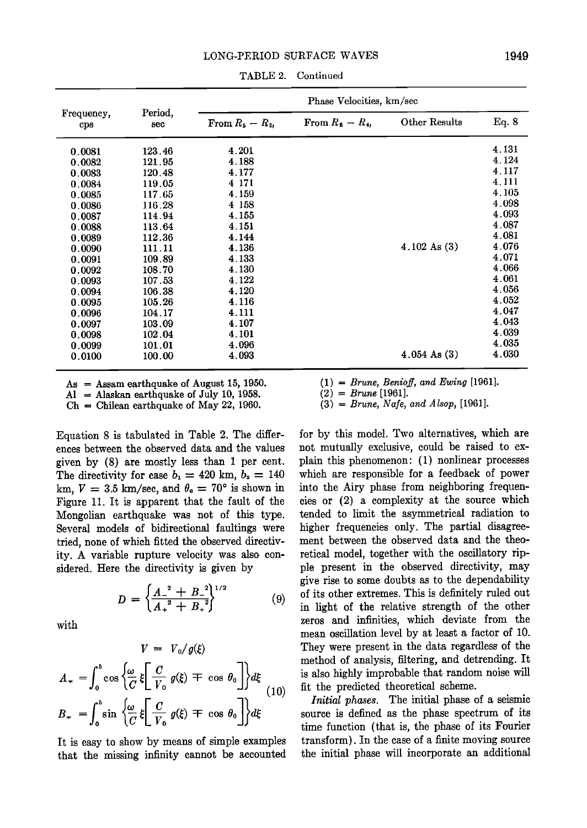|                                                                                                                                                    | Period,<br>sec                                                                                                                                     | Phase Velocities, km/sec                                                                                                            |                    |                         |                                                                                                                                     |
|----------------------------------------------------------------------------------------------------------------------------------------------------|----------------------------------------------------------------------------------------------------------------------------------------------------|-------------------------------------------------------------------------------------------------------------------------------------|--------------------|-------------------------|-------------------------------------------------------------------------------------------------------------------------------------|
| Frequency,<br>cps                                                                                                                                  |                                                                                                                                                    | From $R_5 - R_3$ ,                                                                                                                  | From $R_6 - R_4$ , | Other Results           | Eq. 8                                                                                                                               |
| 0.0081<br>0.0082<br>0.0083<br>0.0084<br>0.0085<br>0.0086<br>0.0087<br>0.0088<br>0.0089<br>0.0090<br>0.0091<br>0.0092<br>0.0093<br>0.0094<br>0.0095 | 123.46<br>121.95<br>120.48<br>119.05<br>117.65<br>116 28<br>114.94<br>113.64<br>112.36<br>111.11<br>109.89<br>108.70<br>107.53<br>106.38<br>105.26 | 4.201<br>4.188<br>4.177<br>4 171<br>4.159<br>4 158<br>4.155<br>4.151<br>4.144<br>4.136<br>4.133<br>4.130<br>4.122<br>4.120<br>4.116 |                    | $4.102 \text{ As } (3)$ | 4.131<br>4.124<br>4.117<br>4.111<br>4.105<br>4.098<br>4.093<br>4.087<br>4.081<br>4.076<br>4.071<br>4.066<br>4.061<br>4.056<br>4.052 |
| 0.0096<br>0.0097<br>0.0098<br>0.0099<br>0.0100                                                                                                     | 104.17<br>103.09<br>102.04<br>101.01<br>100.00                                                                                                     | 4.111<br>4.107<br>4.101<br>4.096<br>4.093                                                                                           |                    | $4.054 \text{ As } (3)$ | 4.047<br>4.043<br>4.039<br>4.035<br>4.030                                                                                           |

**TABLE 2. Continued** 

**As = Assam earthquake of August 15, 1950.** 

A1 = Alaskan earthquake of July 10, 1958.

**Ch - Chilean earthquake of May 22, 1960.** 

**Equation 8 is tabulated in Table 2. The differences between the observed data and the values given by (8) are mostly less than I per cent.**  The directivity for case  $b_1 = 420$  km,  $b_2 = 140$ km,  $V = 3.5$  km/sec, and  $\theta_0 = 70^\circ$  is shown in **Figure 11. It is apparent that the fault of the Mongolian earthquake was not of this type. Several models of bidirectional faultings were tried, none of which fitted the observed directivity. A variable rupture velocity was also considered. Here the directivity is given by** 

$$
D = \left\{ \frac{A^{-2} + B^{-2}}{A^{2} + B^{2}} \right\}^{1/2}
$$
 (9)

 $\overline{1}$ 

**with** 

$$
V = V_0/g(\xi)
$$
  
\n
$$
A_{\tau} = \int_0^b \cos \left\{ \frac{\omega}{C} \xi \left[ \frac{C}{V_0} g(\xi) \mp \cos \theta_0 \right] \right\} d\xi
$$
  
\n
$$
B_{\tau} = \int_0^b \sin \left\{ \frac{\omega}{C} \xi \left[ \frac{C}{V_0} g(\xi) \mp \cos \theta_0 \right] \right\} d\xi
$$
  
\n
$$
= \int_0^b \sin \left\{ \frac{\omega}{C} \xi \left[ \frac{C}{V_0} g(\xi) \mp \cos \theta_0 \right] \right\} d\xi
$$
  
\n
$$
= \lim_{\text{time}}
$$

**It is easy to show by means of simple examples that the missing infinity cannot be accounted**   $(1)$  = Brune, Benioff, and Ewing [1961].

 $(2)$  = Brune [1961].

 $(3)$  = Brune, Nafe, and Alsop, [1961].

**for by this model. Two alternatives, which are not mutually exclusive, could be raised to explain this phenomenon: (1) nonlinear processes which are responsible for a feedback of power into the Airy phase from neighboring frequencies or (2) a complexity at the source which tended to limit the asymmetrical radiation to higher frequencies only. The partial disagreement between the observed data and the theoretical model, together with the oscillatory ripple present in the observed directivity, may give rise to some doubts as to the dependability of its other extremes. This is definitely ruled out in light of the relative strength of the other zeros and infinities, which deviate from the mean oscillation level by at least a factor of 10. They were present in the data regardless of the method of analysis, filtering, and detrending. It is also highly improbable that random noise will fit the predicted theoretical scheme.** 

**Initial phases. The initial phase of a seismic source is defined as the phase spectrum of its time function (that is, the phase of its Fourier transform). In the case of a finite moving source the initial phase will incorporate an additional**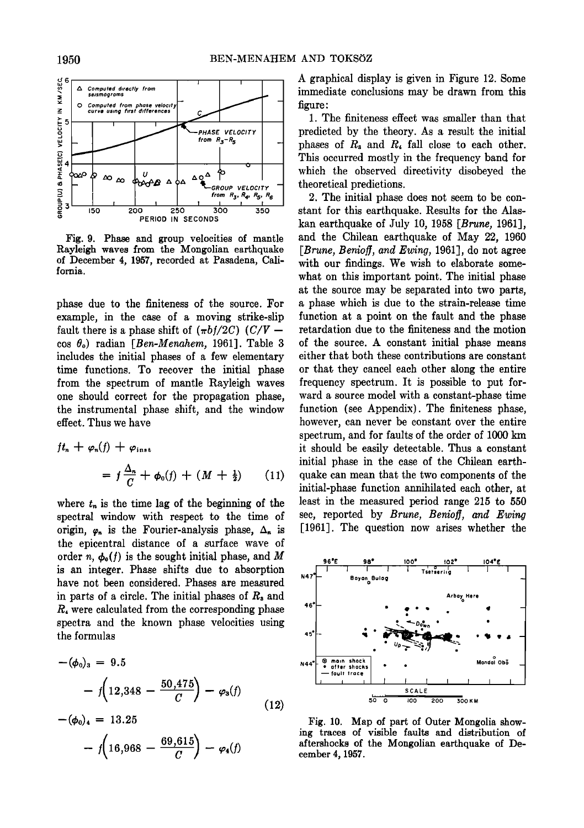

**Fig. 9. Phase and group velocities of mantle Rayleigh waves from the Mongolian earthquake of December 4, 1957, recorded at Pasadena, California.** 

**phase due to the finiteness of the source. For example, in the case of a moving strike-slip**  fault there is a phase shift of  $(\pi b f/2C)$  (C/V – **cos Oo) radian [Ben-Menahem, 1961]. Table 3 includes the initial phases of a few elementary time functions. To recover the initial phase from the spectrum of mantle Rayleigh waves one should correct for the propagation phase, the instrumental phase shift, and the window effect. Thus we have** 

$$
ft_n + \varphi_n(f) + \varphi_{\text{inst}}
$$
  
=  $f \frac{\Delta_n}{C} + \varphi_0(f) + (M + \frac{1}{2})$  (11)

where  $t_n$  is the time lag of the beginning of the **spectral window with respect to. the time of**  origin,  $\varphi_n$  is the Fourier-analysis phase,  $\Delta_n$  is **the epicentral distance of a surface wave of**  order n,  $\phi_{\text{o}}(f)$  is the sought initial phase, and M **is an integer. Phase shifts due to absorption have not been considered. Phases are measured**  in parts of a circle. The initial phases of  $R<sub>s</sub>$  and **R4 were calculated from the corresponding phase spectra and the known phase velocities using the formulas** 

$$
-(\phi_0)_3 = 9.5
$$
  
-  $f\left(12,348 - \frac{50,475}{C}\right) - \varphi_3(f)$   
-  $(\phi_0)_4 = 13.25$  (12)

$$
- f\left(16,968 - \frac{69,615}{C}\right) - \varphi_4(f)
$$

**A graphical display is given in Figure 12. Some immediate conclusions may be drawn from this figure:** 

**1. The finiteness effect was smaller than that predicted by the theory. As a result the initial**  phases of  $R_3$  and  $R_4$  fall close to each other. **This occurred mostly in the frequency band for which the observed directivity disobeyed the theoretical predictions.** 

**2. The initial phase does not seem to be constant for this earthquake. Results for the Alaskan earthquake of July 10, 1958 [Brune, 1961], and the Chilean earthquake of May 22, 1960**  [*Brune, Benioff, and Ewing,* 1961], do not agree **with our findings. We wish to elaborate somewhat on this important point. The initial phase at the source may be separated into two parts, a phase which is due to the strain-release time function at a point on the fault and the phase retardation due to the finiteness and the motion of the source. A constant initial phase means either that both these contributions are constant or that they cancel each other along the entire frequency spectrum. It is possible to put forward a source model with a constant-phase time function (see Appendix). The finiteness phase, however, can never be constant over the entire spectrum, and for faults of the order of 1000 km it should be easily detectable. Thus a constant initial phase in the ease of the Chilean earthquake can mean that the two components of the initial-phase function annihilated each other, at least in the measured period range 215 to 550**  sec, reported by *Brune*, *Benioff*, and *Ewing* **[1961]. The question now arises whether the** 



**Fig. 10. Map of part of Outer Mongolia showing traces of visible faults and distribution of aftershocks of the Mongolian earthquake of December 4, 1957.**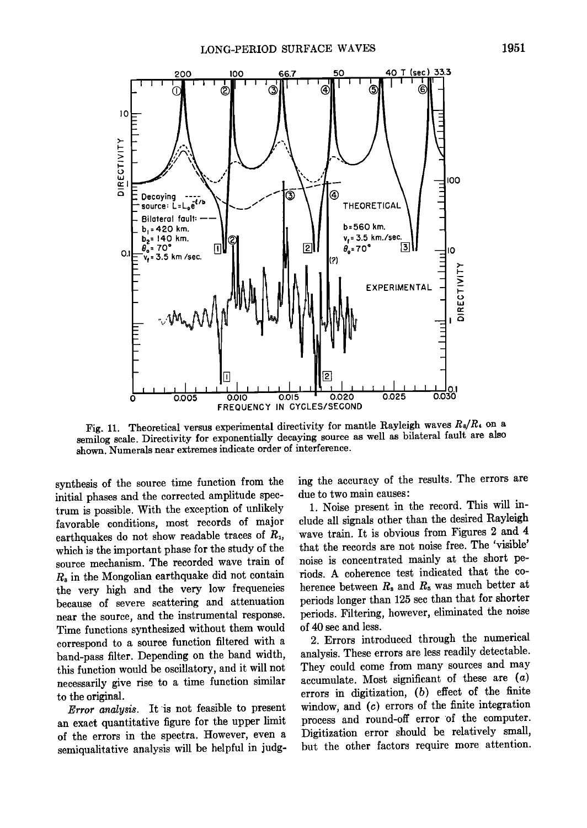

Fig. 11. Theoretical versus experimental directivity for mantle Rayleigh waves  $R_8/R_4$  on a **semilog scale. Directivity for exponentially decaying source as well as bilateral fault are also shown. Numerals near extremes indicate order of interference.** 

synthesis of the source time function from the **initial phases and the corrected amplitude spec**trum is possible. With the exception of unlikely **favorable conditions, most records of major**  earthquakes do not show readable traces of  $R_1$ , which is the important phase for the study of the **source mechanism. The recorded wave train of R• in the Mongolian earthquake did not contain the very high and the very low frequencies because of severe scattering and attenuation near the source, and the instrumental response. Time functionsynthesized without them would correspond to a source function filtered with a band-pass filter. Depending on the band width, this function would be oscillatory, and it will not necessarily give rise to a time function similar to the original.** 

**Error analysis. It is not feasible to present an exact quantitative figure for the upper limit of the errors in the spectra. However, even a semiqualitative analysis will be helpful in judg-** **ing the accuracy of the results. The errors are due to two main causes:** 

**1. Noise present in the record. This will include all signals other than the desired Rayleigh wave train. It is obvious from Figures 2 and 4 that the records are not noise free. The 'visible' noise is concentrated mainly at the short periods. A coherence test indicated that the co**herence between  $R<sub>s</sub>$  and  $R<sub>s</sub>$  was much better at **periods longer than 125 sec than that for shorter periods. Filtering, however, eliminated the noise of 40 sec and less.** 

**2. Errors introduced through the numerical**  analysis. These errors are less readily detectable. **They could come from many sources and may accumulate. Most significant of these are (a) errors in digitization, (b) effect of the finite window, and (c) errors of the finite integration process and round-off error of the computer. Digitization error should be relatively small, but the other factors require more attention.**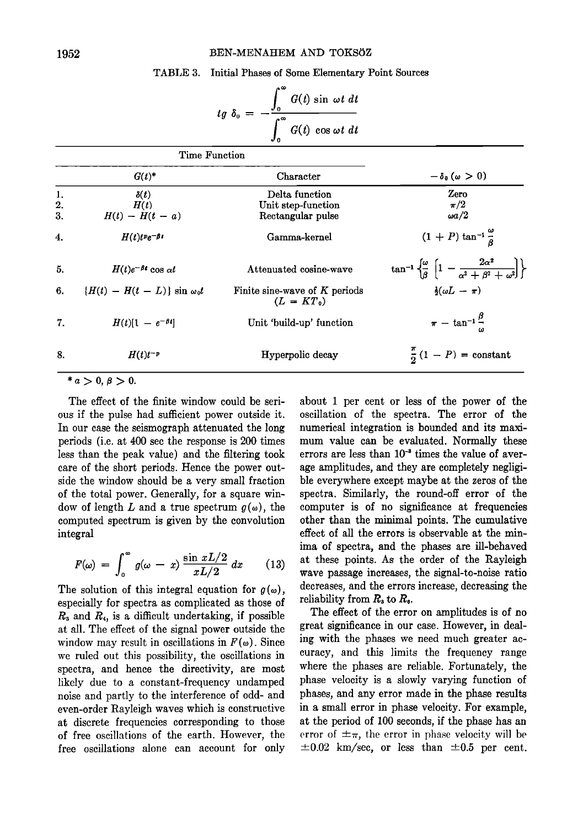#### BEN-MENAHEM AND TOKSOZ

## **TABLE 3. Initial Phases of Some Elementary Point Sources**

|                 | ^∞<br>Jo | $G(t)$ sin $\omega t$ dt |
|-----------------|----------|--------------------------|
| tg $\delta_0 =$ | Jo       | $G(t)$ cos $\omega t$ dt |

| Time Function |                                      |                                                 |                                                                                                           |  |
|---------------|--------------------------------------|-------------------------------------------------|-----------------------------------------------------------------------------------------------------------|--|
|               | $G(t)^*$                             | Character                                       | $-\delta_0 (\omega > 0)$                                                                                  |  |
| 1.            | $\delta(t)$                          | Delta function                                  | Zero                                                                                                      |  |
| 2.            | H(t)                                 | Unit step-function                              | $\pi/2$                                                                                                   |  |
| 3.            | $H(t) - H(t - a)$                    | Rectangular pulse                               | $\omega a/2$                                                                                              |  |
| 4.            | $H(t)t^p e^{-\beta t}$               | Gamma-kernel                                    | $(1 + P) \tan^{-1} \frac{\omega}{8}$                                                                      |  |
| 5.            | $H(t)e^{-\beta t}\cos \alpha t$      | Attenuated cosine-wave                          | $\tan^{-1}\left\{\frac{\omega}{\beta}\left[1-\frac{2\alpha^2}{\alpha^2+\beta^2+\omega^2}\right]\right\}.$ |  |
| 6.            | $\{H(t) - H(t - L)\}\sin \omega_0 t$ | Finite sine-wave of $K$ periods<br>$(L = KT_0)$ | $\frac{1}{2}(\omega L - \pi)$                                                                             |  |
| 7.            | $H(t)[1 - e^{-\beta t}]$             | Unit 'build-up' function                        | $\pi$ - tan <sup>-1</sup> <sup><math>\frac{\beta}{\gamma}</math></sup>                                    |  |
| 8.            | $H(t)t^{-p}$                         | Hyperpolic decay                                | $\frac{\pi}{2}(1-P) = \text{constant}$                                                                    |  |

 $* a > 0, \beta > 0.$ 

**The effect of the finite window could be serious if the pulse had sufficient power outside it. In our case the seismograph attenuated the long periods (i.e. at 400 sec the response is 200 times less than the peak value) and the filtering took care of the short periods. Hence the power outside the window should be a very small fraction of the total power. Generally, for a square win**dow of length L and a true spectrum  $g(\omega)$ , the **computed spectrum is given by the convolution integral** 

$$
F(\omega) = \int_0^\infty g(\omega - x) \frac{\sin xL/2}{xL/2} dx \qquad (13) \quad \frac{a}{w}
$$

The solution of this integral equation for  $g(\omega)$ , **especially for spectra as complicated as those of R3 and R4, is a difficult undertaking, if possible at all. The effect of the signal power outside the**  window may result in oscillations in  $F(\omega)$ . Since **we ruled out this possibility, the oscillations in spectra, and hence the directivity, are most likely due to a constant-frequency undamped noise and partly to the interference of odd- and even-order Rayleigh waves which is constructive at discrete frequencies corresponding to those of free oscillations of the earth. However, the free oscillations alone can account for only** 

**about i per cent or less of the power of the oscillation of the spectra. The error of the numerical integration is bounded and its maximum value can be evaluated. Normally these**  errors are less than  $10^{-3}$  times the value of aver**age amplitudes, and they are completely negligi**ble everywhere except maybe at the zeros of the **spectra. Similarly, the round-off error of the computer is of no significance at frequencies other than the minimal points. The cumulative effect of all the errors is observable at the minima of spectra, and the phases are ill-behaved at these points. As the order of the Rayleigh wave passage increases, the signal-to-noise ratio decreases, and the errors increase, decreasing the**  reliability from  $R<sub>s</sub>$  to  $R<sub>0</sub>$ .

**The effect of the error on amplitudes is of no great significance in our case. However, in dealing with the phases we need much greater accuracy, and this limits the frequency range where the phases are reliable. Fortunately, the phase velocity is a slowly varying function of phases, and any error made in the phase results in a small error in phase velocity. For example, at the period of 100 seconds, if the phase has an**  error of  $\pm \pi$ , the error in phase velocity will be  $\pm 0.02$  km/sec, or less than  $\pm 0.5$  per cent.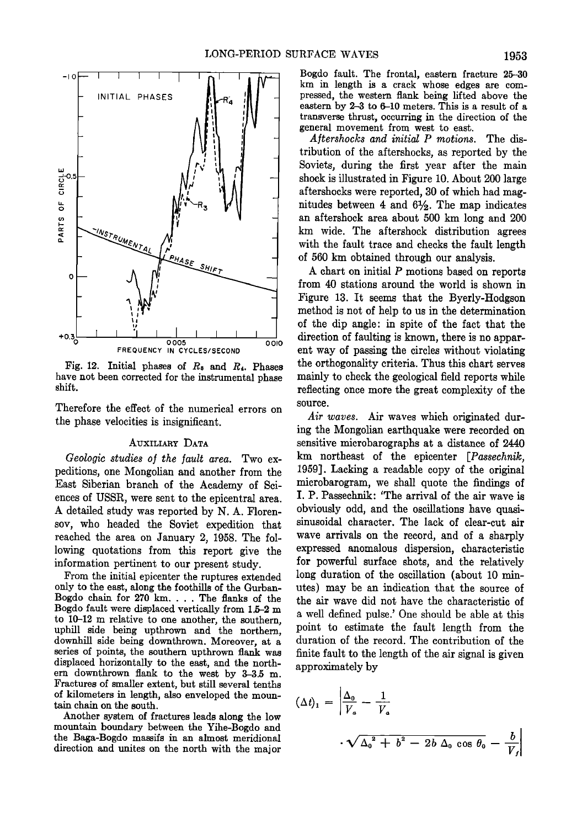

**Fig. 12. Initial phases of R8 and R4. Phases have not been corrected for the instrumental phase shift.** 

**Therefore the effect of the numerical errors on the phase velocities is insignificant.** 

#### **AUXILIARY DATA**

Geologic studies of the fault area. Two ex**peditions, one Mongolian and another from the East Siberian branch of the Academy of Sciences of USSR, were sent to the epicentral area. A detailed study was reported by N. A. Florensoy, who headed the Soviet expedition that reached the area on January 2, 1958. The following quotations from this report give the information pertinent to our present study.** 

**From the initial epicenter the ruptures extended only to the east, along the foothills of the Gurban-Bogdo chain for 270 km .... The flanks of the Bogdo fault were displaced vertically from 1.5-2 m to 10-12 m relative to one another, the southern, uphill side being upthrown and the northern, downhill side being downthrown. Moreover, at a series of points, the southern upthrown flank was displaced horizontally to the east, and the northern downthrown flank to the west by 3-3.5 m. Fractures of smaller extent, but still several tenths of kilometers in length, also enveloped the mountain chain on the south.** 

**Another system of fractures leads along the low mountain boundary between the Yihe-Bogdo and the Baga-Bogdo massifs in an almost meridional direction and unites on the north with the major**  **Bogdo fault. The frontal, eastern fracture 25-30 km in length is a crack whose edges are compressed, the western flank being lifted above the eastern by 2-3 to 6-10 meters. This is a result of a transverse thrust, occurring in the direction of the general movement from west to east.** 

**Aftershocks and initial P motions. The distribution of the aftershocks, as reported by the Soviets, during the first year after the main shock is illustrated in Figure 10. About 200 large aftershocks were reported, 30 of which had mag**nitudes between 4 and  $6\frac{1}{2}$ . The map indicates **an aftershock area about 500 km long and 200 km wide. The aftershock distribution agrees with the fault trace and checks the fault length of 560 km obtained through our analysis.** 

**A chart on initial P motions based on reports from 40 stations around the world is shown in Figure 13. It seems that the Byerly-Hodgson method is not of help to us in the determination of the dip angle: in spite of the fact that the direction of faulting is known, there is no apparent way of passing the circles without violating the orthogonality criteria. Thus this chart serves mainly to check the geological field reports while reflecting once more the great complexity of the source.** 

**Air waves. Air waves which originated during the Mongolian earthquake were recorded on sensitive microbarographs at a distance of 2440 km northeast of the epicenter [Passechnik, 1959]. Lacking a readable copy of the original microbarogram, we shall quote the findings of I. P. Passechnik: 'The arrival of the air wave is obviously odd, and the oscillations have quasisinusoidal character. The lack of clear-cut air wave arrivals on the record, and of a sharply expressed anomalous dispersion, characteristic for powerful surface shots, and the relatively long duration of the oscillation (about 10 minutes) may be an indication that the source of the air wave did not have the characteristic of a well defined pulse.' One should be able at this point to estimate the fault length from the duration of the record. The contribution of the finite fault to the length of the air signal is given approximately by** 

$$
(\Delta t)_1 = \left| \frac{\Delta_0}{V_a} - \frac{1}{V_a} \right|
$$
  

$$
\cdot \sqrt{\Delta_0^2 + b^2 - 2b \Delta_0 \cos \theta_0} - \frac{b}{V_f} \right|
$$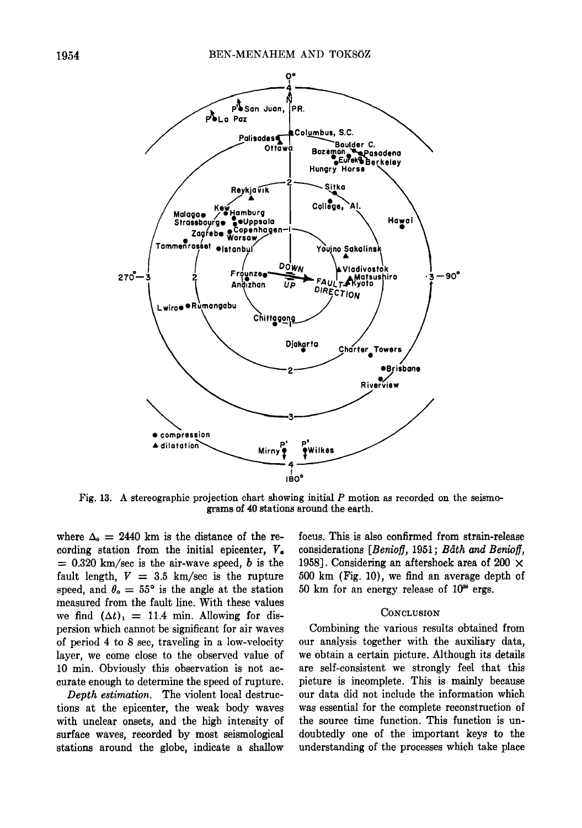

**Fig. 13. A stereographic projection chart showing initial P motion as recorded on the seismograms of 40 stations around the earth.** 

where  $\Delta_0 = 2440$  km is the distance of the re**cording station from the initial epicenter, Va**   $= 0.320$  km/sec is the air-wave speed, b is the fault length,  $V = 3.5$  km/sec is the rupture speed, and  $\theta_{\rm o} = 55^{\circ}$  is the angle at the station **measured from the fault line. With these values**  we find  $(\Delta t)_1 = 11.4$  min. Allowing for dis**persion which cannot be significant for air waves of period 4 to 8 sec, traveling in a low-velocity layer, we come close to the observed value of 10 min. Obviously this observation is not accurate enough to determine the speed of rupture.** 

**Depth estimation. The violent local destructions at the epicenter, the weak body waves with unclear onsets, and the high intensity of surface waves, recorded by most seismological stations around the globe, indicate a shallow**  **focus. This is also confirmed from strain-release**  considerations [Benioff, 1951; Båth and Benioff, **1958]. Considering an aftershock area of 200 X 500 km (Fig. 10), we find an average depth of 50 km for an energy release of 10 • ergs.** 

#### **CONCLUSION**

**Combining the various results obtained from our analysis together with the auxiliary data, we obtain a certain picture. Although its details are self-consistent we strongly feel that this picture is incomplete. This is mainly because our data did not include the information which was essential for the complete reconstruction of the source time function. This function is undoubtedly one of the important keys to the understanding of the processes which take place**